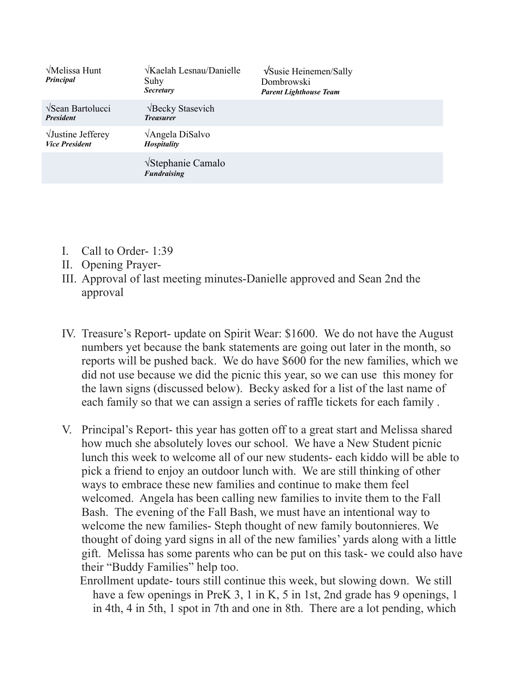| √Melissa Hunt<br>Principal                          | $\sqrt{Kaelah Lesnau/Danielle}$<br>Suhy<br><b>Secretary</b> | VSusie Heinemen/Sally<br>Dombrowski<br><b>Parent Lighthouse Team</b> |
|-----------------------------------------------------|-------------------------------------------------------------|----------------------------------------------------------------------|
| $\sqrt{\text{Sean}$ Bartolucci<br><b>President</b>  | √Becky Stasevich<br><b>Treasurer</b>                        |                                                                      |
| $\sqrt{J}$ ustine Jefferey<br><b>Vice President</b> | $\sqrt{\text{Angela DiSalvo}}$<br><b>Hospitality</b>        |                                                                      |
|                                                     | √Stephanie Camalo<br><b>Fundraising</b>                     |                                                                      |

- I. Call to Order- 1:39
- II. Opening Prayer-
- III. Approval of last meeting minutes-Danielle approved and Sean 2nd the approval
- IV. Treasure's Report- update on Spirit Wear: \$1600. We do not have the August numbers yet because the bank statements are going out later in the month, so reports will be pushed back. We do have \$600 for the new families, which we did not use because we did the picnic this year, so we can use this money for the lawn signs (discussed below). Becky asked for a list of the last name of each family so that we can assign a series of raffle tickets for each family .
- V. Principal's Report- this year has gotten off to a great start and Melissa shared how much she absolutely loves our school. We have a New Student picnic lunch this week to welcome all of our new students- each kiddo will be able to pick a friend to enjoy an outdoor lunch with. We are still thinking of other ways to embrace these new families and continue to make them feel welcomed. Angela has been calling new families to invite them to the Fall Bash. The evening of the Fall Bash, we must have an intentional way to welcome the new families- Steph thought of new family boutonnieres. We thought of doing yard signs in all of the new families' yards along with a little gift. Melissa has some parents who can be put on this task- we could also have their "Buddy Families" help too.
	- Enrollment update- tours still continue this week, but slowing down. We still have a few openings in PreK 3, 1 in K, 5 in 1st, 2nd grade has 9 openings, 1 in 4th, 4 in 5th, 1 spot in 7th and one in 8th. There are a lot pending, which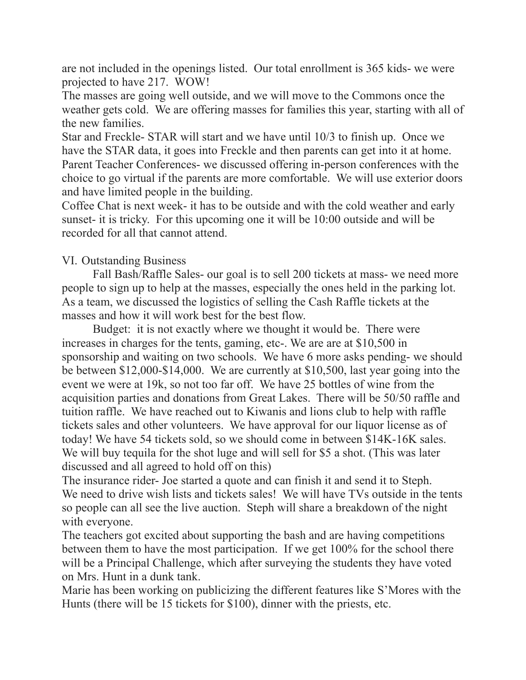are not included in the openings listed. Our total enrollment is 365 kids- we were projected to have 217. WOW!

The masses are going well outside, and we will move to the Commons once the weather gets cold. We are offering masses for families this year, starting with all of the new families.

Star and Freckle- STAR will start and we have until 10/3 to finish up. Once we have the STAR data, it goes into Freckle and then parents can get into it at home. Parent Teacher Conferences- we discussed offering in-person conferences with the choice to go virtual if the parents are more comfortable. We will use exterior doors and have limited people in the building.

Coffee Chat is next week- it has to be outside and with the cold weather and early sunset- it is tricky. For this upcoming one it will be 10:00 outside and will be recorded for all that cannot attend.

## VI. Outstanding Business

 Fall Bash/Raffle Sales- our goal is to sell 200 tickets at mass- we need more people to sign up to help at the masses, especially the ones held in the parking lot. As a team, we discussed the logistics of selling the Cash Raffle tickets at the masses and how it will work best for the best flow.

 Budget: it is not exactly where we thought it would be. There were increases in charges for the tents, gaming, etc-. We are are at \$10,500 in sponsorship and waiting on two schools. We have 6 more asks pending- we should be between \$12,000-\$14,000. We are currently at \$10,500, last year going into the event we were at 19k, so not too far off. We have 25 bottles of wine from the acquisition parties and donations from Great Lakes. There will be 50/50 raffle and tuition raffle. We have reached out to Kiwanis and lions club to help with raffle tickets sales and other volunteers. We have approval for our liquor license as of today! We have 54 tickets sold, so we should come in between \$14K-16K sales. We will buy tequila for the shot luge and will sell for \$5 a shot. (This was later discussed and all agreed to hold off on this)

The insurance rider- Joe started a quote and can finish it and send it to Steph. We need to drive wish lists and tickets sales! We will have TVs outside in the tents so people can all see the live auction. Steph will share a breakdown of the night with everyone.

The teachers got excited about supporting the bash and are having competitions between them to have the most participation. If we get 100% for the school there will be a Principal Challenge, which after surveying the students they have voted on Mrs. Hunt in a dunk tank.

Marie has been working on publicizing the different features like S'Mores with the Hunts (there will be 15 tickets for \$100), dinner with the priests, etc.